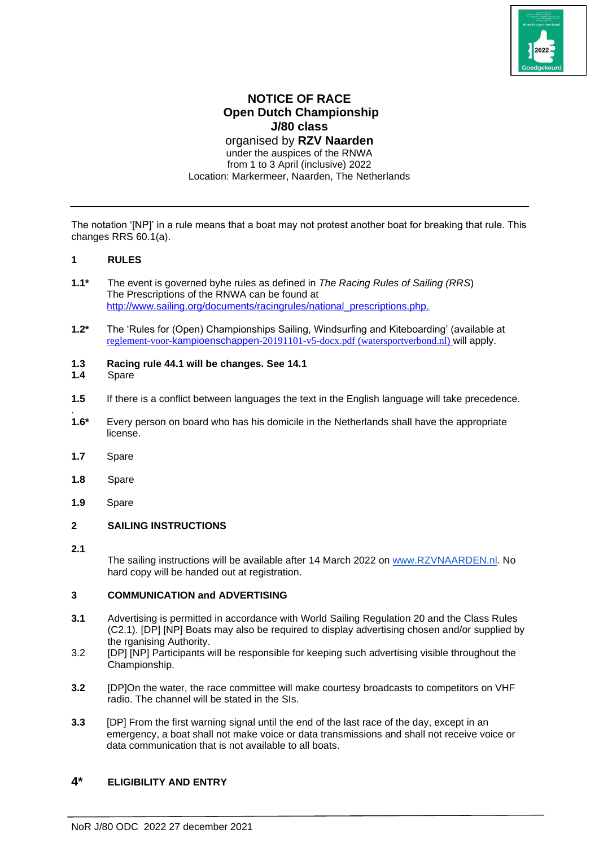

# **NOTICE OF RACE Open Dutch Championship J/80 class**

organised by **RZV Naarden** under the auspices of the RNWA from 1 to 3 April (inclusive) 2022 Location: Markermeer, Naarden, The Netherlands

The notation '[NP]' in a rule means that a boat may not protest another boat for breaking that rule. This changes RRS 60.1(a).

# **1 RULES**

- **1.1\*** The event is governed byhe rules as defined in *The Racing Rules of Sailing (RRS*) The Prescriptions of the RNWA can be found at [http://www.sailing.org/documents/racingrules/national\\_prescriptions.php.](http://www.sailing.org/documents/racingrules/national_prescriptions.php)
- **1.2\*** The 'Rules for (Open) Championships Sailing, Windsurfing and Kiteboarding' (available at [reglement-voor-](https://www.watersportverbond.nl/media/rmxdy253/reglement-voor-kampioenschappen-20191101-v5-docx.pdf)[kampioenschappen](https://www.watersportverbond.nl/media/rmxdy253/reglement-voor-kampioenschappen-20191101-v5-docx.pdf)[-20191101-v5-docx.pdf \(watersportverbond.nl\)](https://www.watersportverbond.nl/media/rmxdy253/reglement-voor-kampioenschappen-20191101-v5-docx.pdf) will apply.
- **1.3 Racing rule 44.1 will be changes. See 14.1**
- **1.4** Spare
- **1.5** If there is a conflict between languages the text in the English language will take precedence.
- **1.6\*** Every person on board who has his domicile in the Netherlands shall have the appropriate license.
- **1.7** Spare
- **1.8** Spare
- **1.9** Spare

## **2 SAILING INSTRUCTIONS**

**2.1**

.

The sailing instructions will be available after 14 March 2022 on [www.RZVNAARDEN.nl.](http://www.rzvnaarden.nl/) No hard copy will be handed out at registration.

## **3 COMMUNICATION and ADVERTISING**

- **3.1** Advertising is permitted in accordance with World Sailing Regulation 20 and the Class Rules (C2.1). [DP] [NP] Boats may also be required to display advertising chosen and/or supplied by the rganising Authority.
- 3.2 [DP] [NP] Participants will be responsible for keeping such advertising visible throughout the Championship.
- **3.2** [DP]On the water, the race committee will make courtesy broadcasts to competitors on VHF radio. The channel will be stated in the SIs.
- **3.3** [DP] From the first warning signal until the end of the last race of the day, except in an emergency, a boat shall not make voice or data transmissions and shall not receive voice or data communication that is not available to all boats.

# **4\* ELIGIBILITY AND ENTRY**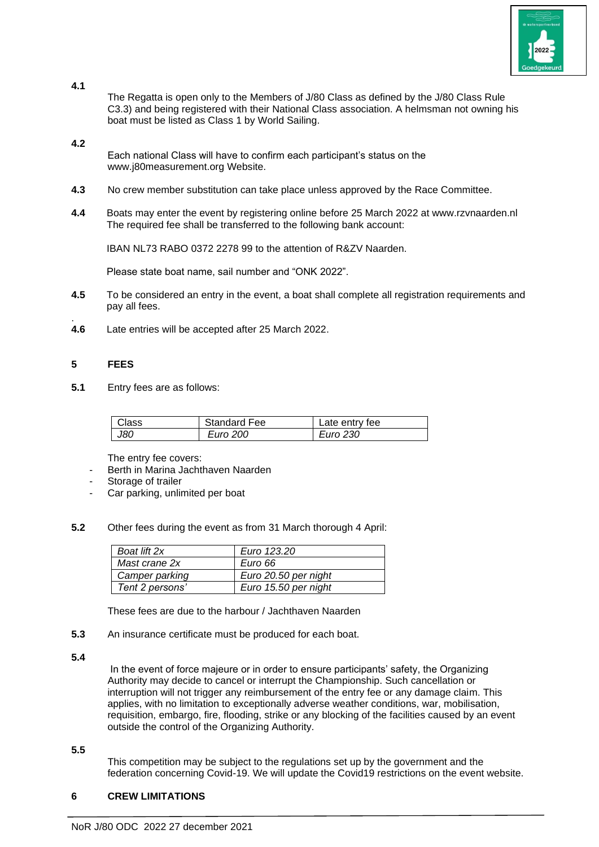

**4.1**

The Regatta is open only to the Members of J/80 Class as defined by the J/80 Class Rule C3.3) and being registered with their National Class association. A helmsman not owning his boat must be listed as Class 1 by World Sailing.

## **4.2**

Each national Class will have to confirm each participant's status on the www.j80measurement.org Website.

- **4.3** No crew member substitution can take place unless approved by the Race Committee.
- **4.4** Boats may enter the event by registering online before 25 March 2022 at www.rzvnaarden.nl The required fee shall be transferred to the following bank account:

IBAN NL73 RABO 0372 2278 99 to the attention of R&ZV Naarden.

Please state boat name, sail number and "ONK 2022".

- **4.5** To be considered an entry in the event, a boat shall complete all registration requirements and pay all fees.
- **4.6** Late entries will be accepted after 25 March 2022.

# **5 FEES**

.

**5.1** Entry fees are as follows:

| assاک | <b>Standard Fee</b> | Late entry fee |
|-------|---------------------|----------------|
| J80   | Euro 200            | Euro 230       |

The entry fee covers:

- Berth in Marina Jachthaven Naarden
- Storage of trailer
- Car parking, unlimited per boat
- **5.2** Other fees during the event as from 31 March thorough 4 April:

| Boat lift 2x    | Euro 123.20          |
|-----------------|----------------------|
| Mast crane 2x   | Euro 66              |
| Camper parking  | Euro 20.50 per night |
| Tent 2 persons' | Euro 15.50 per night |

These fees are due to the harbour / Jachthaven Naarden

**5.3** An insurance certificate must be produced for each boat.

**5.4**

In the event of force majeure or in order to ensure participants' safety, the Organizing Authority may decide to cancel or interrupt the Championship. Such cancellation or interruption will not trigger any reimbursement of the entry fee or any damage claim. This applies, with no limitation to exceptionally adverse weather conditions, war, mobilisation, requisition, embargo, fire, flooding, strike or any blocking of the facilities caused by an event outside the control of the Organizing Authority.

#### **5.5**

This competition may be subject to the regulations set up by the government and the federation concerning Covid-19. We will update the Covid19 restrictions on the event website.

## **6 CREW LIMITATIONS**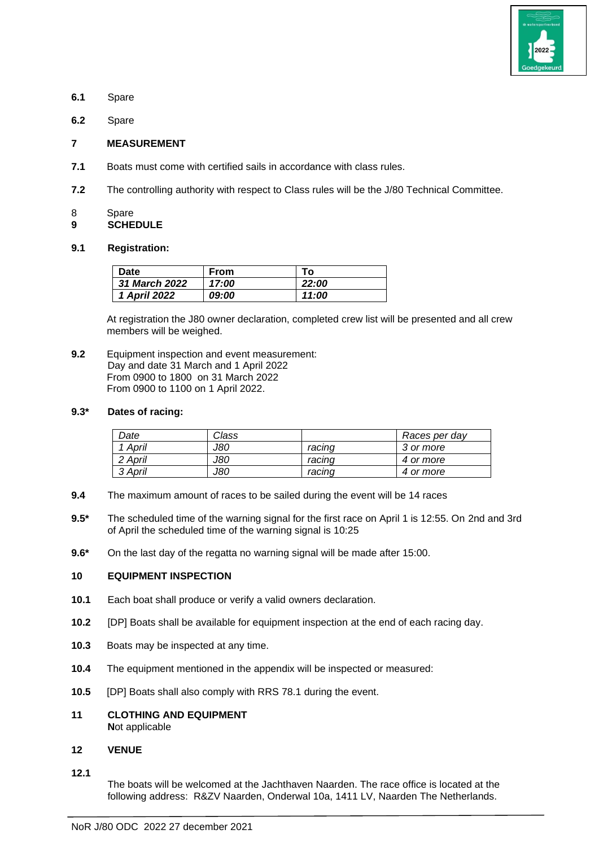

- **6.1** Spare
- **6.2** Spare

#### **7 MEASUREMENT**

- **7.1** Boats must come with certified sails in accordance with class rules.
- **7.2** The controlling authority with respect to Class rules will be the J/80 Technical Committee.
- 8 Spare
- **9 SCHEDULE**

#### **9.1 Registration:**

| Date                 | From                | Т٥    |
|----------------------|---------------------|-------|
| <b>31 March 2022</b> | 17:00               | 22:00 |
| 1 April 2022         | <i><b>09:00</b></i> | 11:00 |

At registration the J80 owner declaration, completed crew list will be presented and all crew members will be weighed.

**9.2** Equipment inspection and event measurement: Day and date 31 March and 1 April 2022 From 0900 to 1800 on 31 March 2022 From 0900 to 1100 on 1 April 2022.

## **9.3\* Dates of racing:**

| Date    | Class |        | Races per day |  |
|---------|-------|--------|---------------|--|
| April   | J80   | racınd | 3 or more     |  |
| 2 April | J80   | racina | 4 or more     |  |
| 3 April | J80   | racind | 4 or more     |  |

- **9.4** The maximum amount of races to be sailed during the event will be 14 races
- **9.5\*** The scheduled time of the warning signal for the first race on April 1 is 12:55. On 2nd and 3rd of April the scheduled time of the warning signal is 10:25
- **9.6\*** On the last day of the regatta no warning signal will be made after 15:00.

## **10 EQUIPMENT INSPECTION**

- **10.1** Each boat shall produce or verify a valid owners declaration.
- **10.2** [DP] Boats shall be available for equipment inspection at the end of each racing day.
- **10.3** Boats may be inspected at any time.
- **10.4** The equipment mentioned in the appendix will be inspected or measured:
- **10.5** [DP] Boats shall also comply with RRS 78.1 during the event.
- **11 CLOTHING AND EQUIPMENT N**ot applicable

#### **12 VENUE**

**12.1**

The boats will be welcomed at the Jachthaven Naarden. The race office is located at the following address: R&ZV Naarden, Onderwal 10a, 1411 LV, Naarden The Netherlands.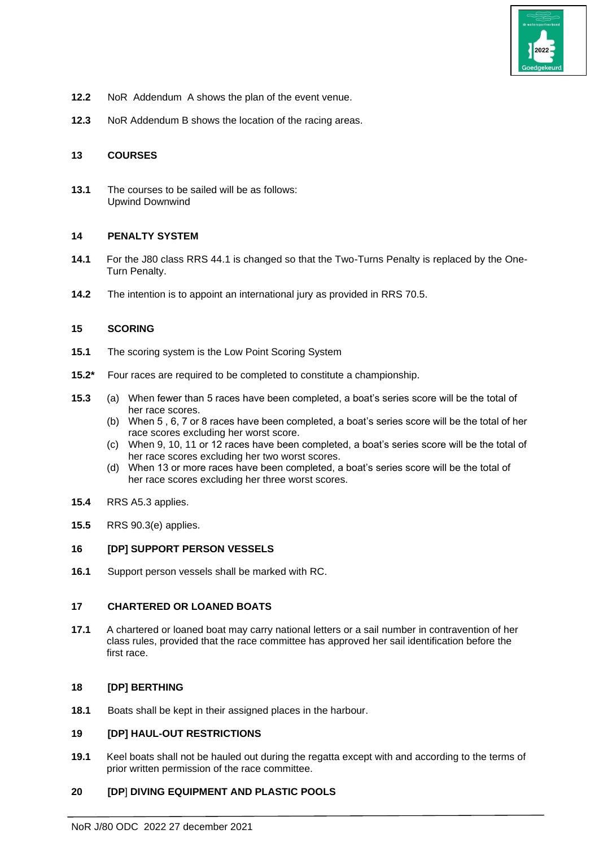

- **12.2** NoR Addendum A shows the plan of the event venue.
- **12.3** NoR Addendum B shows the location of the racing areas.

#### **13 COURSES**

**13.1** The courses to be sailed will be as follows: Upwind Downwind

#### **14 PENALTY SYSTEM**

- **14.1** For the J80 class RRS 44.1 is changed so that the Two-Turns Penalty is replaced by the One-Turn Penalty.
- **14.2** The intention is to appoint an international jury as provided in RRS 70.5.

#### **15 SCORING**

- **15.1** The scoring system is the Low Point Scoring System
- **15.2\*** Four races are required to be completed to constitute a championship.
- **15.3** (a) When fewer than 5 races have been completed, a boat's series score will be the total of her race scores.
	- (b) When 5 , 6, 7 or 8 races have been completed, a boat's series score will be the total of her race scores excluding her worst score.
	- (c) When 9, 10, 11 or 12 races have been completed, a boat's series score will be the total of her race scores excluding her two worst scores.
	- (d) When 13 or more races have been completed, a boat's series score will be the total of her race scores excluding her three worst scores.
- **15.4** RRS A5.3 applies.
- **15.5** RRS 90.3(e) applies.

## **16 [DP] SUPPORT PERSON VESSELS**

**16.1** Support person vessels shall be marked with RC.

## **17 CHARTERED OR LOANED BOATS**

**17.1** A chartered or loaned boat may carry national letters or a sail number in contravention of her class rules, provided that the race committee has approved her sail identification before the first race.

#### **18 [DP] BERTHING**

**18.1** Boats shall be kept in their assigned places in the harbour.

## **19 [DP] HAUL-OUT RESTRICTIONS**

**19.1** Keel boats shall not be hauled out during the regatta except with and according to the terms of prior written permission of the race committee.

## **20 [DP**] **DIVING EQUIPMENT AND PLASTIC POOLS**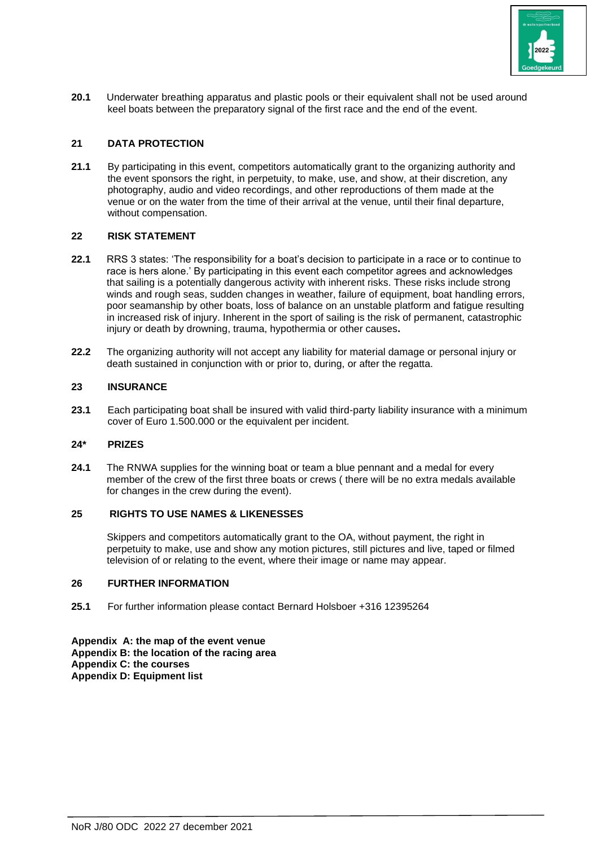

**20.1** Underwater breathing apparatus and plastic pools or their equivalent shall not be used around keel boats between the preparatory signal of the first race and the end of the event.

# **21 DATA PROTECTION**

**21.1** By participating in this event, competitors automatically grant to the organizing authority and the event sponsors the right, in perpetuity, to make, use, and show, at their discretion, any photography, audio and video recordings, and other reproductions of them made at the venue or on the water from the time of their arrival at the venue, until their final departure, without compensation.

## **22 RISK STATEMENT**

- **22.1** RRS 3 states: 'The responsibility for a boat's decision to participate in a race or to continue to race is hers alone.' By participating in this event each competitor agrees and acknowledges that sailing is a potentially dangerous activity with inherent risks. These risks include strong winds and rough seas, sudden changes in weather, failure of equipment, boat handling errors, poor seamanship by other boats, loss of balance on an unstable platform and fatigue resulting in increased risk of injury. Inherent in the sport of sailing is the risk of permanent, catastrophic injury or death by drowning, trauma, hypothermia or other causes**.**
- **22.2** The organizing authority will not accept any liability for material damage or personal injury or death sustained in conjunction with or prior to, during, or after the regatta.

#### **23 INSURANCE**

**23.1** Each participating boat shall be insured with valid third-party liability insurance with a minimum cover of Euro 1.500.000 or the equivalent per incident.

#### **24\* PRIZES**

**24.1** The RNWA supplies for the winning boat or team a blue pennant and a medal for every member of the crew of the first three boats or crews ( there will be no extra medals available for changes in the crew during the event).

#### **25 RIGHTS TO USE NAMES & LIKENESSES**

Skippers and competitors automatically grant to the OA, without payment, the right in perpetuity to make, use and show any motion pictures, still pictures and live, taped or filmed television of or relating to the event, where their image or name may appear.

#### **26 FURTHER INFORMATION**

**25.1** For further information please contact Bernard Holsboer +316 12395264

**Appendix A: the map of the event venue Appendix B: the location of the racing area Appendix C: the courses Appendix D: Equipment list**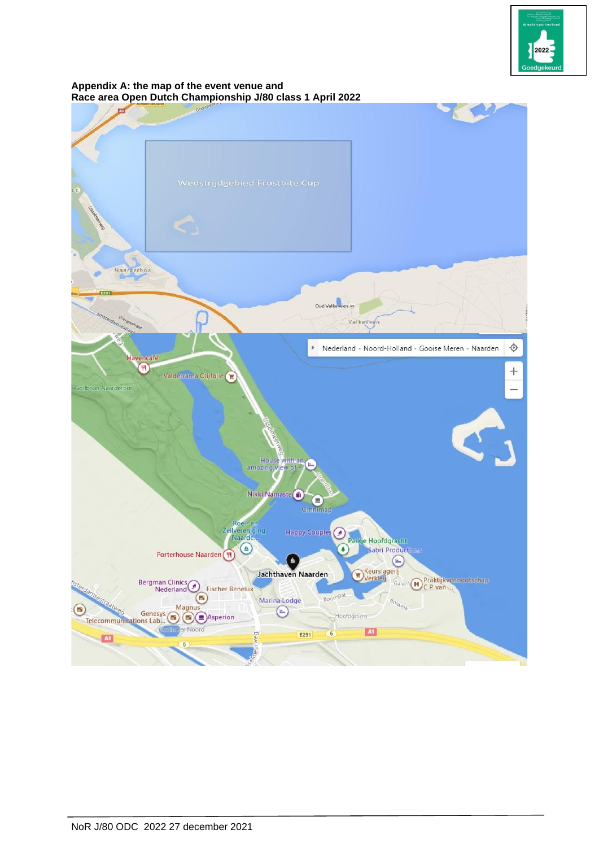

#### **Appendix A: the map of the event venue and Race area Open Dutch Championship J/80 class 1 April 2022**

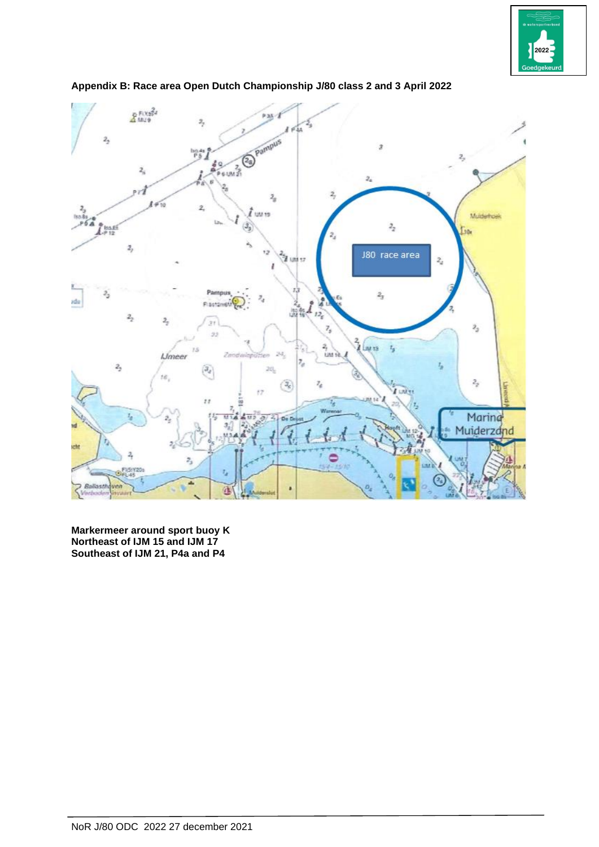



**Appendix B: Race area Open Dutch Championship J/80 class 2 and 3 April 2022**

**Markermeer around sport buoy K Northeast of IJM 15 and IJM 17 Southeast of IJM 21, P4a and P4**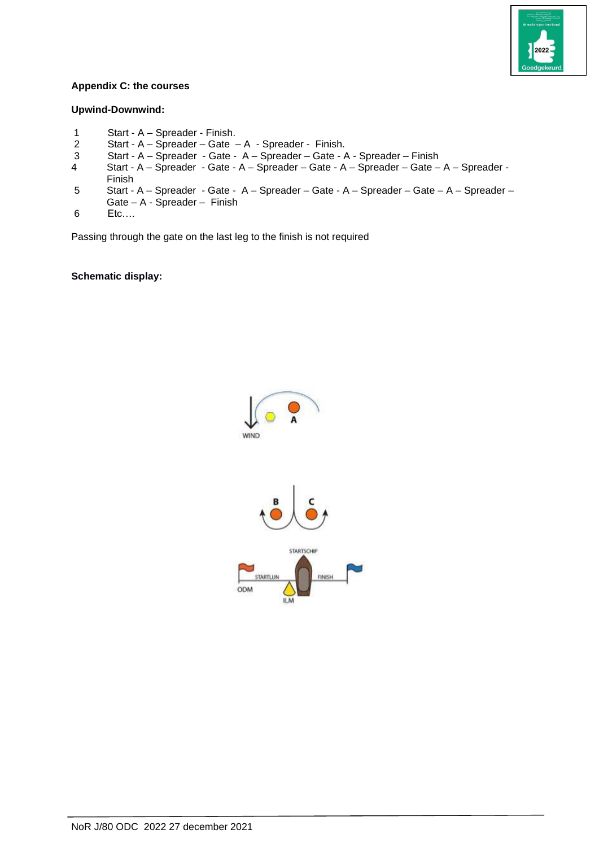

## **Appendix C: the courses**

## **Upwind-Downwind:**

- 1 Start A Spreader Finish.
- 2 Start A Spreader Gate A Spreader Finish.
- 3 Start A Spreader Gate A Spreader Gate A Spreader Finish
- 4 Start A Spreader Gate A Spreader Gate A Spreader Gate A Spreader Finish
- 5 Start A Spreader Gate A Spreader Gate A Spreader Gate A Spreader –
- Gate A Spreader Finish
- 6 Etc….

Passing through the gate on the last leg to the finish is not required

**Schematic display:**

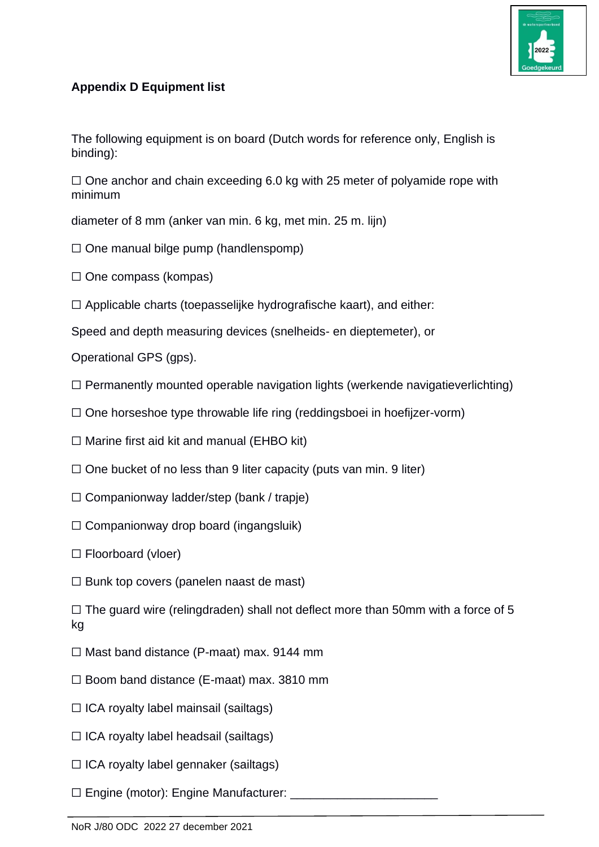

# **Appendix D Equipment list**

The following equipment is on board (Dutch words for reference only, English is binding):

 $\Box$  One anchor and chain exceeding 6.0 kg with 25 meter of polyamide rope with minimum

diameter of 8 mm (anker van min. 6 kg, met min. 25 m. lijn)

- ☐ One manual bilge pump (handlenspomp)
- $\Box$  One compass (kompas)
- $\Box$  Applicable charts (toepasselijke hydrografische kaart), and either:

Speed and depth measuring devices (snelheids- en dieptemeter), or

Operational GPS (gps).

- $\Box$  Permanently mounted operable navigation lights (werkende navigatieverlichting)
- ☐ One horseshoe type throwable life ring (reddingsboei in hoefijzer-vorm)

 $\Box$  Marine first aid kit and manual (EHBO kit)

- $\Box$  One bucket of no less than 9 liter capacity (puts van min. 9 liter)
- $\Box$  Companionway ladder/step (bank / trapje)
- $\Box$  Companionway drop board (ingangsluik)
- ☐ Floorboard (vloer)
- $\Box$  Bunk top covers (panelen naast de mast)

 $\Box$  The guard wire (relingdraden) shall not deflect more than 50mm with a force of 5 kg

- $\Box$  Mast band distance (P-maat) max. 9144 mm
- ☐ Boom band distance (E-maat) max. 3810 mm
- $\Box$  ICA royalty label mainsail (sailtags)
- $\Box$  ICA royalty label headsail (sailtags)
- ☐ ICA royalty label gennaker (sailtags)
- ☐ Engine (motor): Engine Manufacturer: \_\_\_\_\_\_\_\_\_\_\_\_\_\_\_\_\_\_\_\_\_\_